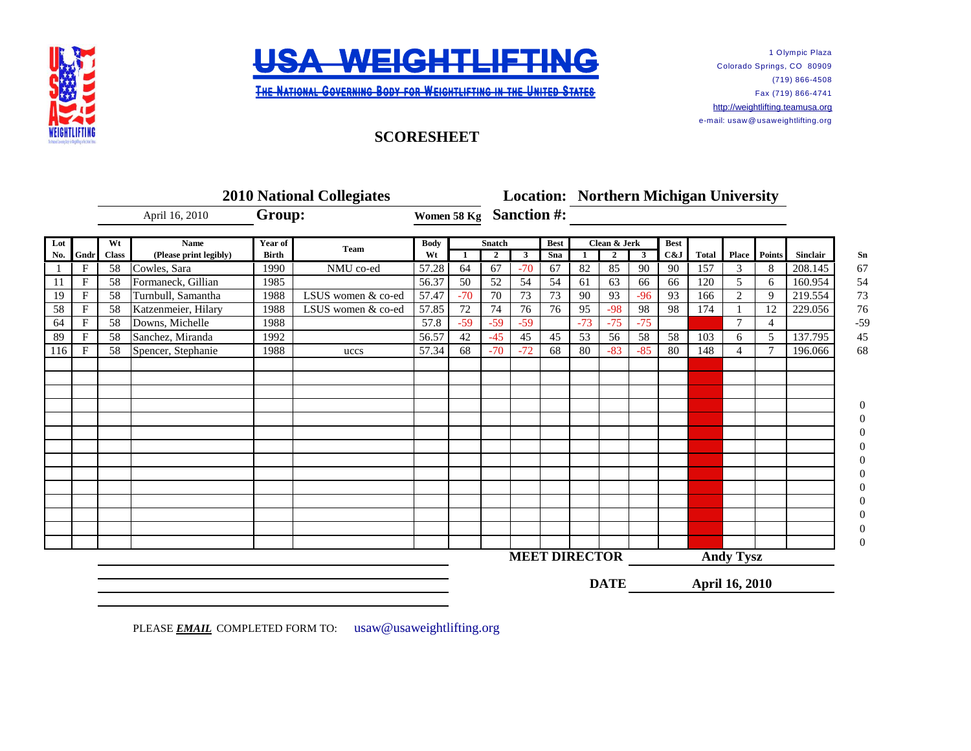



**THE NATIONAL GOVERNING BODY FOR WEIGHTLIFTING IN THE UNITED STATES** 

1 Olympic Plaza Colorado Springs, CO 80909 (719) 866-4508 Fax (719) 866-4741 [http://w](http://weightlifting.teamusa.org/)eightlifting.teamusa.org e-mail: usaw@ usaweightlifting.org

## **SCORESHEET**

|            |              | <b>2010 National Collegiates</b> |                                                         |                         |                    |                   |                 |               |                              |             |              | <b>Location: Northern Michigan University</b> |                  |                       |              |              |              |                 |  |
|------------|--------------|----------------------------------|---------------------------------------------------------|-------------------------|--------------------|-------------------|-----------------|---------------|------------------------------|-------------|--------------|-----------------------------------------------|------------------|-----------------------|--------------|--------------|--------------|-----------------|--|
|            |              |                                  | April 16, 2010<br><b>Name</b><br>(Please print legibly) | Group:                  |                    | Women 58 Kg       |                 |               | <b>Sanction #:</b>           |             |              |                                               |                  |                       |              |              |              |                 |  |
| Lot<br>No. |              | Wt                               |                                                         | Year of<br><b>Birth</b> | Team               | <b>Body</b><br>Wt |                 | <b>Snatch</b> | $\mathbf{3}$<br>$\mathbf{2}$ |             | Clean & Jerk |                                               | <b>Best</b>      |                       |              |              |              |                 |  |
|            | Gndr         | <b>Class</b>                     |                                                         |                         |                    |                   |                 |               |                              |             |              | $\overline{2}$                                | $\mathbf{3}$     | C&J                   | <b>Total</b> |              | Place Points | <b>Sinclair</b> |  |
|            | $\mathbf F$  | 58                               | Cowles, Sara                                            | 1990                    | NMU co-ed          | 57.28             | 64              | 67            | $-70$                        | 67          | 82           | 85                                            | 90               | 90                    | 157          | 3            | 8            | 208.145         |  |
| 11         | $\mathbf F$  | 58                               | Formaneck, Gillian                                      | 1985                    |                    | 56.37             | 50              | 52            | 54                           | 54          | 61           | 63                                            | 66               | 66                    | 120          | 5            | 6            | 160.954         |  |
| 19         | $\mathbf{F}$ | 58                               | Turnbull, Samantha                                      | 1988                    | LSUS women & co-ed | 57.47             | $-70$           | 70            | 73                           | 73          | 90           | 93                                            | $-96$            | 93                    | 166          | 2            | 9            | 219.554         |  |
| 58         | $\mathbf F$  | 58                               | Katzenmeier, Hilary                                     | 1988                    | LSUS women & co-ed | 57.85             | $\overline{72}$ | 74            | 76                           | 76          | 95           | $-98$                                         | 98               | 98                    | 174          |              | 12           | 229.056         |  |
| 64         | F            | 58                               | Downs, Michelle                                         | 1988                    |                    | 57.8              | $-59$           | $-59$         | $-59$                        |             | $-73$        | $-75$                                         | $-75$            |                       |              | $\mathbf{r}$ | 4            |                 |  |
| 89         | $\mathbf{F}$ | 58                               | Sanchez, Miranda                                        | 1992                    |                    | 56.57             | 42              | $-45$         | 45                           | 45          | 53           | 56                                            | 58               | 58                    | 103          | 6            | 5            | 137.795         |  |
| 116        | F            | 58                               | Spencer, Stephanie                                      | 1988                    | uccs               | 57.34             | 68              | $-70$         | $-72$                        | 68          | 80           | $-83$                                         | $-85$            | 80                    | 148          |              |              | 196.066         |  |
|            |              |                                  |                                                         |                         |                    |                   |                 |               |                              |             |              |                                               |                  |                       |              |              |              |                 |  |
|            |              |                                  |                                                         |                         |                    |                   |                 |               |                              |             |              |                                               |                  |                       |              |              |              |                 |  |
|            |              |                                  |                                                         |                         |                    |                   |                 |               |                              |             |              |                                               |                  |                       |              |              |              |                 |  |
|            |              |                                  |                                                         |                         |                    |                   |                 |               |                              |             |              |                                               |                  |                       |              |              |              |                 |  |
|            |              |                                  |                                                         |                         |                    |                   |                 |               |                              |             |              |                                               |                  |                       |              |              |              |                 |  |
|            |              |                                  |                                                         |                         |                    |                   |                 |               |                              |             |              |                                               |                  |                       |              |              |              |                 |  |
|            |              |                                  |                                                         |                         |                    |                   |                 |               |                              |             |              |                                               |                  |                       |              |              |              |                 |  |
|            |              |                                  |                                                         |                         |                    |                   |                 |               |                              |             |              |                                               |                  |                       |              |              |              |                 |  |
|            |              |                                  |                                                         |                         |                    |                   |                 |               |                              |             |              |                                               |                  |                       |              |              |              |                 |  |
|            |              |                                  |                                                         |                         |                    |                   |                 |               |                              |             |              |                                               |                  |                       |              |              |              |                 |  |
|            |              |                                  |                                                         |                         |                    |                   |                 |               |                              |             |              |                                               |                  |                       |              |              |              |                 |  |
|            |              |                                  |                                                         |                         |                    |                   |                 |               |                              |             |              |                                               |                  |                       |              |              |              |                 |  |
|            |              |                                  |                                                         |                         |                    |                   |                 |               |                              |             |              |                                               |                  |                       |              |              |              |                 |  |
|            |              |                                  |                                                         |                         |                    |                   |                 |               |                              |             |              |                                               |                  |                       |              |              |              |                 |  |
|            |              |                                  |                                                         |                         |                    |                   |                 |               | <b>MEET DIRECTOR</b>         |             |              |                                               | <b>Andy Tysz</b> |                       |              |              |              |                 |  |
|            |              |                                  |                                                         |                         |                    |                   |                 |               |                              | <b>DATE</b> |              |                                               |                  | <b>April 16, 2010</b> |              |              |              |                 |  |

PLEASE **EMAIL** COMPLETED FORM TO: usaw@usaweightlifting.org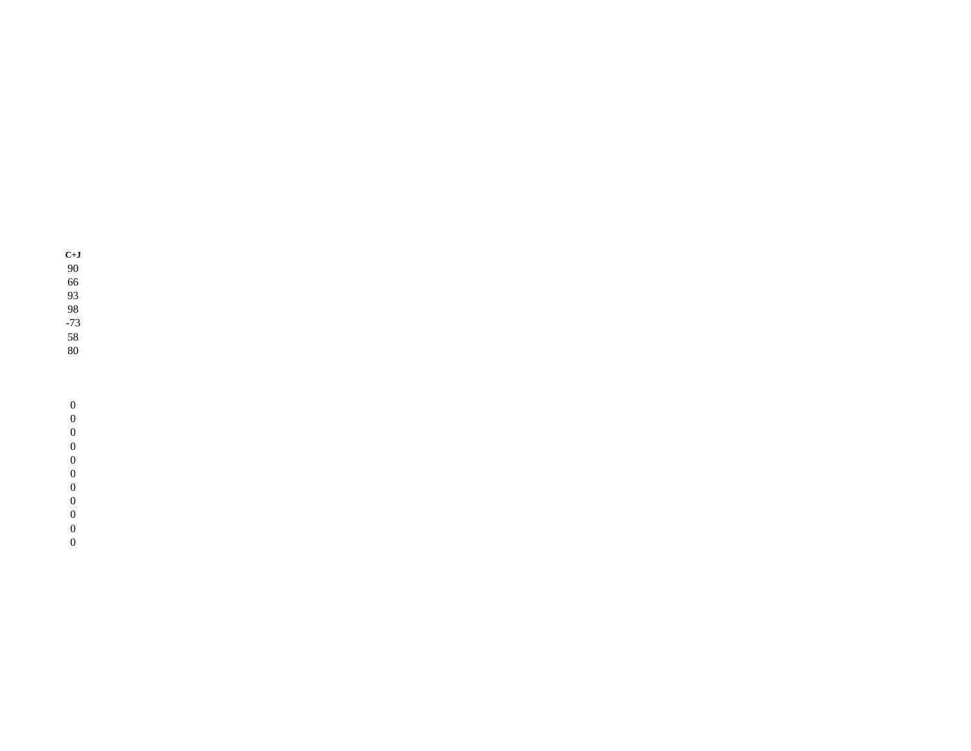- **C+J** 90
- 66
- 93
- 98
- -73
- 58
- 80

## $\boldsymbol{0}$

- $\boldsymbol{0}$
- 
- $\boldsymbol{0}$
- 0
- $\boldsymbol{0}$
- $\boldsymbol{0}$
- $\boldsymbol{0}$  $\boldsymbol{0}$
- $\boldsymbol{0}$
- 0
- 0